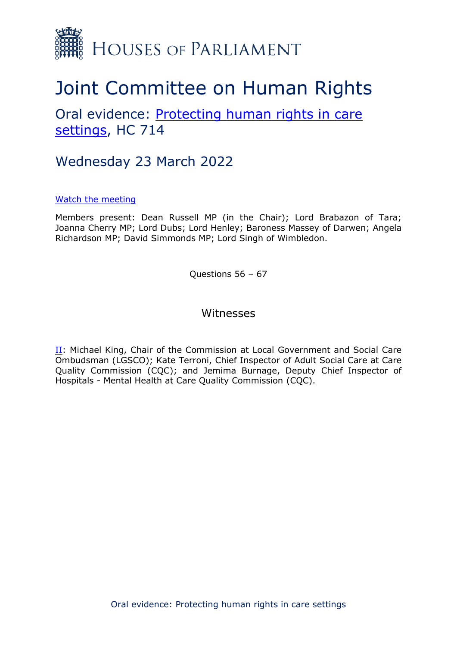

# Joint Committee on Human Rights

## Oral evidence: [Protecting](https://committees.parliament.uk/work/1495/protecting-human-rights-in-care-settings/) [human](https://committees.parliament.uk/work/1495/protecting-human-rights-in-care-settings/) [rights](https://committees.parliament.uk/work/1495/protecting-human-rights-in-care-settings/) [in](https://committees.parliament.uk/work/1495/protecting-human-rights-in-care-settings/) [care](https://committees.parliament.uk/work/1495/protecting-human-rights-in-care-settings/) [settings](https://committees.parliament.uk/work/1495/protecting-human-rights-in-care-settings/), HC 714

## Wednesday 23 March 2022

#### [Watch](https://parliamentlive.tv/event/index/ed1dcf4f-1808-4365-9373-6dbf176bef6f) [the](https://parliamentlive.tv/event/index/ed1dcf4f-1808-4365-9373-6dbf176bef6f) [meeting](https://parliamentlive.tv/event/index/ed1dcf4f-1808-4365-9373-6dbf176bef6f)

Members present: Dean Russell MP (in the Chair); Lord Brabazon of Tara; Joanna Cherry MP; Lord Dubs; Lord Henley; Baroness Massey of Darwen; Angela Richardson MP; David Simmonds MP; Lord Singh of Wimbledon.

Questions 56 – 67

#### Witnesses

[II](#page-1-0): Michael King, Chair of the Commission at Local Government and Social Care Ombudsman (LGSCO); Kate Terroni, Chief Inspector of Adult Social Care at Care Quality Commission (CQC); and Jemima Burnage, Deputy Chief Inspector of Hospitals - Mental Health at Care Quality Commission (CQC).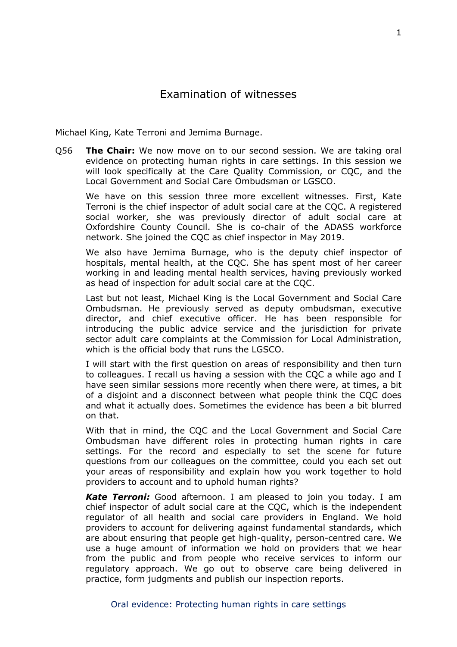<span id="page-1-0"></span>Michael King, Kate Terroni and Jemima Burnage.

Q56 **The Chair:** We now move on to our second session. We are taking oral evidence on protecting human rights in care settings. In this session we will look specifically at the Care Quality Commission, or CQC, and the Local Government and Social Care Ombudsman or LGSCO.

We have on this session three more excellent witnesses. First, Kate Terroni is the chief inspector of adult social care at the CQC. A registered social worker, she was previously director of adult social care at Oxfordshire County Council. She is co-chair of the ADASS workforce network. She joined the CQC as chief inspector in May 2019.

We also have Jemima Burnage, who is the deputy chief inspector of hospitals, mental health, at the CQC. She has spent most of her career working in and leading mental health services, having previously worked as head of inspection for adult social care at the CQC.

Last but not least, Michael King is the Local Government and Social Care Ombudsman. He previously served as deputy ombudsman, executive director, and chief executive officer. He has been responsible for introducing the public advice service and the jurisdiction for private sector adult care complaints at the Commission for Local Administration, which is the official body that runs the LGSCO.

I will start with the first question on areas of responsibility and then turn to colleagues. I recall us having a session with the CQC a while ago and I have seen similar sessions more recently when there were, at times, a bit of a disjoint and a disconnect between what people think the CQC does and what it actually does. Sometimes the evidence has been a bit blurred on that.

With that in mind, the CQC and the Local Government and Social Care Ombudsman have different roles in protecting human rights in care settings. For the record and especially to set the scene for future questions from our colleagues on the committee, could you each set out your areas of responsibility and explain how you work together to hold providers to account and to uphold human rights?

*Kate Terroni:* Good afternoon. I am pleased to join you today. I am chief inspector of adult social care at the CQC, which is the independent regulator of all health and social care providers in England. We hold providers to account for delivering against fundamental standards, which are about ensuring that people get high-quality, person-centred care. We use a huge amount of information we hold on providers that we hear from the public and from people who receive services to inform our regulatory approach. We go out to observe care being delivered in practice, form judgments and publish our inspection reports.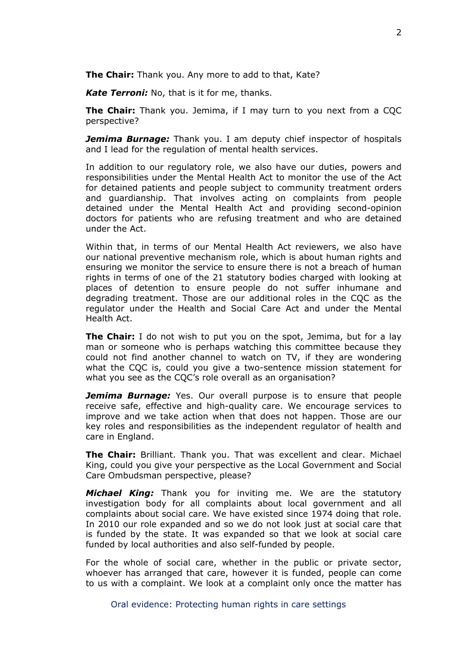**The Chair:** Thank you. Any more to add to that, Kate?

*Kate Terroni:* No, that is it for me, thanks.

**The Chair:** Thank you. Jemima, if I may turn to you next from a CQC perspective?

*Jemima Burnage:* Thank you. I am deputy chief inspector of hospitals and I lead for the regulation of mental health services.

In addition to our regulatory role, we also have our duties, powers and responsibilities under the Mental Health Act to monitor the use of the Act for detained patients and people subject to community treatment orders and guardianship. That involves acting on complaints from people detained under the Mental Health Act and providing second-opinion doctors for patients who are refusing treatment and who are detained under the Act.

Within that, in terms of our Mental Health Act reviewers, we also have our national preventive mechanism role, which is about human rights and ensuring we monitor the service to ensure there is not a breach of human rights in terms of one of the 21 statutory bodies charged with looking at places of detention to ensure people do not suffer inhumane and degrading treatment. Those are our additional roles in the CQC as the regulator under the Health and Social Care Act and under the Mental Health Act.

**The Chair:** I do not wish to put you on the spot, Jemima, but for a lay man or someone who is perhaps watching this committee because they could not find another channel to watch on TV, if they are wondering what the CQC is, could you give a two-sentence mission statement for what you see as the CQC's role overall as an organisation?

*Jemima Burnage:* Yes. Our overall purpose is to ensure that people receive safe, effective and high-quality care. We encourage services to improve and we take action when that does not happen. Those are our key roles and responsibilities as the independent regulator of health and care in England.

**The Chair:** Brilliant. Thank you. That was excellent and clear. Michael King, could you give your perspective as the Local Government and Social Care Ombudsman perspective, please?

*Michael King:* Thank you for inviting me. We are the statutory investigation body for all complaints about local government and all complaints about social care. We have existed since 1974 doing that role. In 2010 our role expanded and so we do not look just at social care that is funded by the state. It was expanded so that we look at social care funded by local authorities and also self-funded by people.

For the whole of social care, whether in the public or private sector, whoever has arranged that care, however it is funded, people can come to us with a complaint. We look at a complaint only once the matter has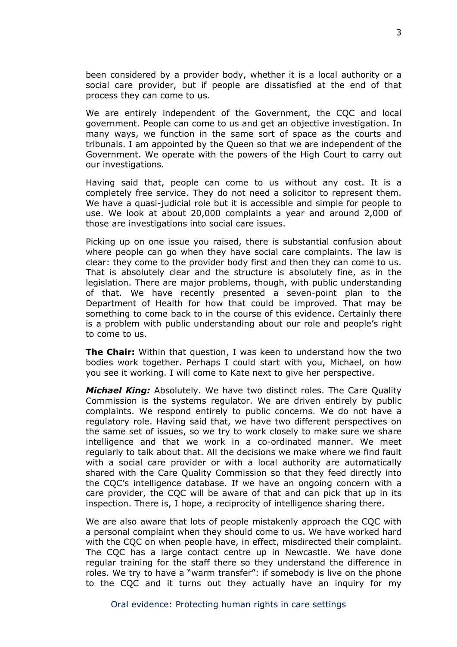been considered by a provider body, whether it is a local authority or a social care provider, but if people are dissatisfied at the end of that process they can come to us.

We are entirely independent of the Government, the CQC and local government. People can come to us and get an objective investigation. In many ways, we function in the same sort of space as the courts and tribunals. I am appointed by the Queen so that we are independent of the Government. We operate with the powers of the High Court to carry out our investigations.

Having said that, people can come to us without any cost. It is a completely free service. They do not need a solicitor to represent them. We have a quasi-judicial role but it is accessible and simple for people to use. We look at about 20,000 complaints a year and around 2,000 of those are investigations into social care issues.

Picking up on one issue you raised, there is substantial confusion about where people can go when they have social care complaints. The law is clear: they come to the provider body first and then they can come to us. That is absolutely clear and the structure is absolutely fine, as in the legislation. There are major problems, though, with public understanding of that. We have recently presented a seven-point plan to the Department of Health for how that could be improved. That may be something to come back to in the course of this evidence. Certainly there is a problem with public understanding about our role and people's right to come to us.

**The Chair:** Within that question, I was keen to understand how the two bodies work together. Perhaps I could start with you, Michael, on how you see it working. I will come to Kate next to give her perspective.

*Michael King:* Absolutely. We have two distinct roles. The Care Quality Commission is the systems regulator. We are driven entirely by public complaints. We respond entirely to public concerns. We do not have a regulatory role. Having said that, we have two different perspectives on the same set of issues, so we try to work closely to make sure we share intelligence and that we work in a co-ordinated manner. We meet regularly to talk about that. All the decisions we make where we find fault with a social care provider or with a local authority are automatically shared with the Care Quality Commission so that they feed directly into the CQC's intelligence database. If we have an ongoing concern with a care provider, the CQC will be aware of that and can pick that up in its inspection. There is, I hope, a reciprocity of intelligence sharing there.

We are also aware that lots of people mistakenly approach the CQC with a personal complaint when they should come to us. We have worked hard with the CQC on when people have, in effect, misdirected their complaint. The CQC has a large contact centre up in Newcastle. We have done regular training for the staff there so they understand the difference in roles. We try to have a "warm transfer": if somebody is live on the phone to the CQC and it turns out they actually have an inquiry for my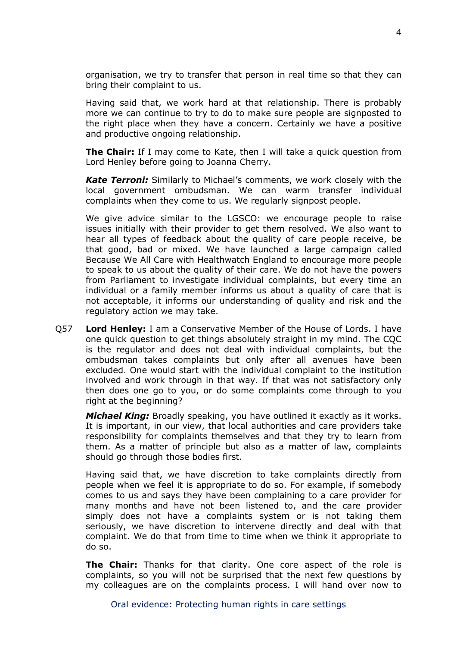organisation, we try to transfer that person in real time so that they can bring their complaint to us.

Having said that, we work hard at that relationship. There is probably more we can continue to try to do to make sure people are signposted to the right place when they have a concern. Certainly we have a positive and productive ongoing relationship.

**The Chair:** If I may come to Kate, then I will take a quick question from Lord Henley before going to Joanna Cherry.

*Kate Terroni:* Similarly to Michael's comments, we work closely with the local government ombudsman. We can warm transfer individual complaints when they come to us. We regularly signpost people.

We give advice similar to the LGSCO: we encourage people to raise issues initially with their provider to get them resolved. We also want to hear all types of feedback about the quality of care people receive, be that good, bad or mixed. We have launched a large campaign called Because We All Care with Healthwatch England to encourage more people to speak to us about the quality of their care. We do not have the powers from Parliament to investigate individual complaints, but every time an individual or a family member informs us about a quality of care that is not acceptable, it informs our understanding of quality and risk and the regulatory action we may take.

Q57 **Lord Henley:** I am a Conservative Member of the House of Lords. I have one quick question to get things absolutely straight in my mind. The CQC is the regulator and does not deal with individual complaints, but the ombudsman takes complaints but only after all avenues have been excluded. One would start with the individual complaint to the institution involved and work through in that way. If that was not satisfactory only then does one go to you, or do some complaints come through to you right at the beginning?

*Michael King:* Broadly speaking, you have outlined it exactly as it works. It is important, in our view, that local authorities and care providers take responsibility for complaints themselves and that they try to learn from them. As a matter of principle but also as a matter of law, complaints should go through those bodies first.

Having said that, we have discretion to take complaints directly from people when we feel it is appropriate to do so. For example, if somebody comes to us and says they have been complaining to a care provider for many months and have not been listened to, and the care provider simply does not have a complaints system or is not taking them seriously, we have discretion to intervene directly and deal with that complaint. We do that from time to time when we think it appropriate to do so.

**The Chair:** Thanks for that clarity. One core aspect of the role is complaints, so you will not be surprised that the next few questions by my colleagues are on the complaints process. I will hand over now to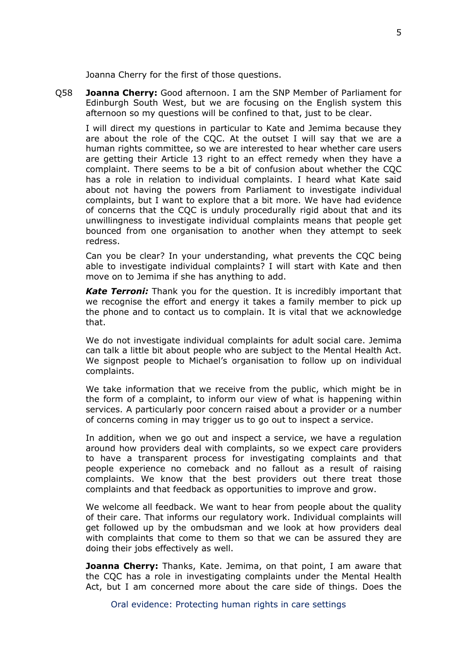Joanna Cherry for the first of those questions.

Q58 **Joanna Cherry:** Good afternoon. I am the SNP Member of Parliament for Edinburgh South West, but we are focusing on the English system this afternoon so my questions will be confined to that, just to be clear.

I will direct my questions in particular to Kate and Jemima because they are about the role of the CQC. At the outset I will say that we are a human rights committee, so we are interested to hear whether care users are getting their Article 13 right to an effect remedy when they have a complaint. There seems to be a bit of confusion about whether the CQC has a role in relation to individual complaints. I heard what Kate said about not having the powers from Parliament to investigate individual complaints, but I want to explore that a bit more. We have had evidence of concerns that the CQC is unduly procedurally rigid about that and its unwillingness to investigate individual complaints means that people get bounced from one organisation to another when they attempt to seek redress.

Can you be clear? In your understanding, what prevents the CQC being able to investigate individual complaints? I will start with Kate and then move on to Jemima if she has anything to add.

*Kate Terroni:* Thank you for the question. It is incredibly important that we recognise the effort and energy it takes a family member to pick up the phone and to contact us to complain. It is vital that we acknowledge that.

We do not investigate individual complaints for adult social care. Jemima can talk a little bit about people who are subject to the Mental Health Act. We signpost people to Michael's organisation to follow up on individual complaints.

We take information that we receive from the public, which might be in the form of a complaint, to inform our view of what is happening within services. A particularly poor concern raised about a provider or a number of concerns coming in may trigger us to go out to inspect a service.

In addition, when we go out and inspect a service, we have a regulation around how providers deal with complaints, so we expect care providers to have a transparent process for investigating complaints and that people experience no comeback and no fallout as a result of raising complaints. We know that the best providers out there treat those complaints and that feedback as opportunities to improve and grow.

We welcome all feedback. We want to hear from people about the quality of their care. That informs our regulatory work. Individual complaints will get followed up by the ombudsman and we look at how providers deal with complaints that come to them so that we can be assured they are doing their jobs effectively as well.

**Joanna Cherry:** Thanks, Kate. Jemima, on that point, I am aware that the CQC has a role in investigating complaints under the Mental Health Act, but I am concerned more about the care side of things. Does the

Oral evidence: Protecting human rights in care settings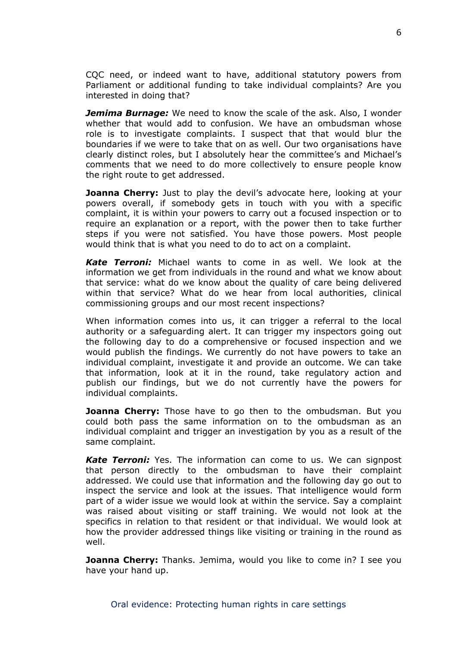CQC need, or indeed want to have, additional statutory powers from Parliament or additional funding to take individual complaints? Are you interested in doing that?

*Jemima Burnage:* We need to know the scale of the ask. Also, I wonder whether that would add to confusion. We have an ombudsman whose role is to investigate complaints. I suspect that that would blur the boundaries if we were to take that on as well. Our two organisations have clearly distinct roles, but I absolutely hear the committee's and Michael's comments that we need to do more collectively to ensure people know the right route to get addressed.

**Joanna Cherry:** Just to play the devil's advocate here, looking at your powers overall, if somebody gets in touch with you with a specific complaint, it is within your powers to carry out a focused inspection or to require an explanation or a report, with the power then to take further steps if you were not satisfied. You have those powers. Most people would think that is what you need to do to act on a complaint.

*Kate Terroni:* Michael wants to come in as well. We look at the information we get from individuals in the round and what we know about that service: what do we know about the quality of care being delivered within that service? What do we hear from local authorities, clinical commissioning groups and our most recent inspections?

When information comes into us, it can trigger a referral to the local authority or a safeguarding alert. It can trigger my inspectors going out the following day to do a comprehensive or focused inspection and we would publish the findings. We currently do not have powers to take an individual complaint, investigate it and provide an outcome. We can take that information, look at it in the round, take regulatory action and publish our findings, but we do not currently have the powers for individual complaints.

**Joanna Cherry:** Those have to go then to the ombudsman. But you could both pass the same information on to the ombudsman as an individual complaint and trigger an investigation by you as a result of the same complaint.

**Kate Terroni:** Yes. The information can come to us. We can signpost that person directly to the ombudsman to have their complaint addressed. We could use that information and the following day go out to inspect the service and look at the issues. That intelligence would form part of a wider issue we would look at within the service. Say a complaint was raised about visiting or staff training. We would not look at the specifics in relation to that resident or that individual. We would look at how the provider addressed things like visiting or training in the round as well.

**Joanna Cherry:** Thanks. Jemima, would you like to come in? I see you have your hand up.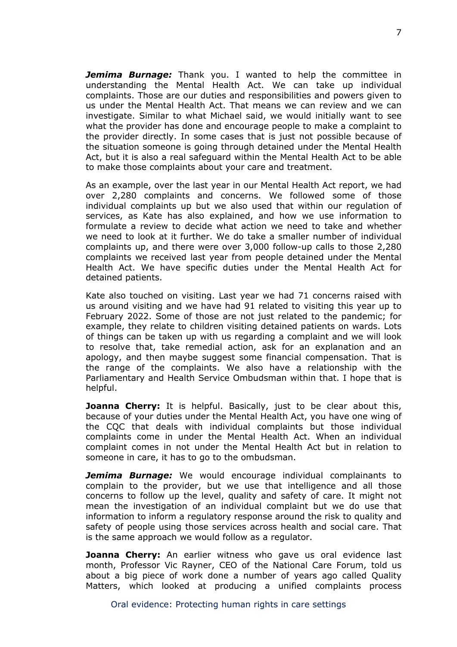*Jemima Burnage:* Thank you. I wanted to help the committee in understanding the Mental Health Act. We can take up individual complaints. Those are our duties and responsibilities and powers given to us under the Mental Health Act. That means we can review and we can investigate. Similar to what Michael said, we would initially want to see what the provider has done and encourage people to make a complaint to the provider directly. In some cases that is just not possible because of the situation someone is going through detained under the Mental Health Act, but it is also a real safeguard within the Mental Health Act to be able to make those complaints about your care and treatment.

As an example, over the last year in our Mental Health Act report, we had over 2,280 complaints and concerns. We followed some of those individual complaints up but we also used that within our regulation of services, as Kate has also explained, and how we use information to formulate a review to decide what action we need to take and whether we need to look at it further. We do take a smaller number of individual complaints up, and there were over 3,000 follow-up calls to those 2,280 complaints we received last year from people detained under the Mental Health Act. We have specific duties under the Mental Health Act for detained patients.

Kate also touched on visiting. Last year we had 71 concerns raised with us around visiting and we have had 91 related to visiting this year up to February 2022. Some of those are not just related to the pandemic; for example, they relate to children visiting detained patients on wards. Lots of things can be taken up with us regarding a complaint and we will look to resolve that, take remedial action, ask for an explanation and an apology, and then maybe suggest some financial compensation. That is the range of the complaints. We also have a relationship with the Parliamentary and Health Service Ombudsman within that. I hope that is helpful.

**Joanna Cherry:** It is helpful. Basically, just to be clear about this, because of your duties under the Mental Health Act, you have one wing of the CQC that deals with individual complaints but those individual complaints come in under the Mental Health Act. When an individual complaint comes in not under the Mental Health Act but in relation to someone in care, it has to go to the ombudsman.

*Jemima Burnage:* We would encourage individual complainants to complain to the provider, but we use that intelligence and all those concerns to follow up the level, quality and safety of care. It might not mean the investigation of an individual complaint but we do use that information to inform a regulatory response around the risk to quality and safety of people using those services across health and social care. That is the same approach we would follow as a regulator.

**Joanna Cherry:** An earlier witness who gave us oral evidence last month, Professor Vic Rayner, CEO of the National Care Forum, told us about a big piece of work done a number of years ago called Quality Matters, which looked at producing a unified complaints process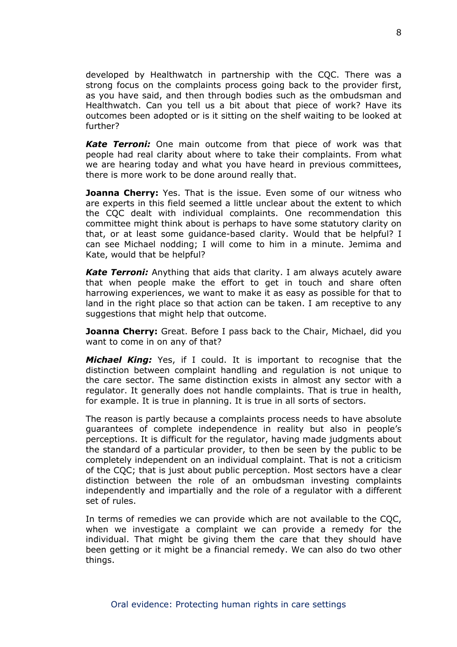developed by Healthwatch in partnership with the CQC. There was a strong focus on the complaints process going back to the provider first, as you have said, and then through bodies such as the ombudsman and Healthwatch. Can you tell us a bit about that piece of work? Have its outcomes been adopted or is it sitting on the shelf waiting to be looked at further?

*Kate Terroni:* One main outcome from that piece of work was that people had real clarity about where to take their complaints. From what we are hearing today and what you have heard in previous committees, there is more work to be done around really that.

**Joanna Cherry:** Yes. That is the issue. Even some of our witness who are experts in this field seemed a little unclear about the extent to which the CQC dealt with individual complaints. One recommendation this committee might think about is perhaps to have some statutory clarity on that, or at least some guidance-based clarity. Would that be helpful? I can see Michael nodding; I will come to him in a minute. Jemima and Kate, would that be helpful?

*Kate Terroni:* Anything that aids that clarity. I am always acutely aware that when people make the effort to get in touch and share often harrowing experiences, we want to make it as easy as possible for that to land in the right place so that action can be taken. I am receptive to any suggestions that might help that outcome.

**Joanna Cherry:** Great. Before I pass back to the Chair, Michael, did you want to come in on any of that?

*Michael King:* Yes, if I could. It is important to recognise that the distinction between complaint handling and regulation is not unique to the care sector. The same distinction exists in almost any sector with a regulator. It generally does not handle complaints. That is true in health, for example. It is true in planning. It is true in all sorts of sectors.

The reason is partly because a complaints process needs to have absolute guarantees of complete independence in reality but also in people's perceptions. It is difficult for the regulator, having made judgments about the standard of a particular provider, to then be seen by the public to be completely independent on an individual complaint. That is not a criticism of the CQC; that is just about public perception. Most sectors have a clear distinction between the role of an ombudsman investing complaints independently and impartially and the role of a regulator with a different set of rules.

In terms of remedies we can provide which are not available to the CQC, when we investigate a complaint we can provide a remedy for the individual. That might be giving them the care that they should have been getting or it might be a financial remedy. We can also do two other things.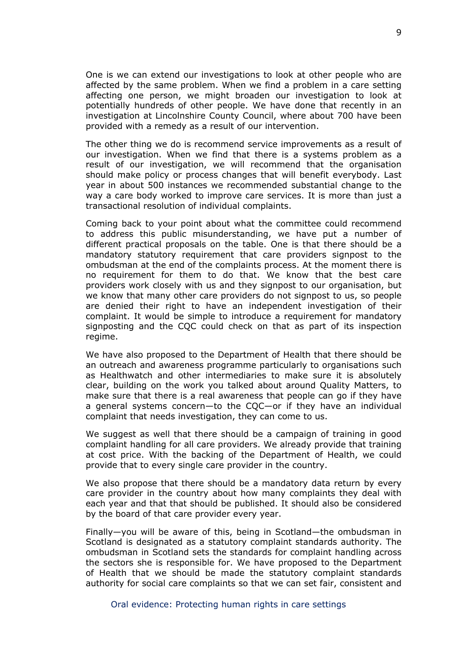One is we can extend our investigations to look at other people who are affected by the same problem. When we find a problem in a care setting affecting one person, we might broaden our investigation to look at potentially hundreds of other people. We have done that recently in an investigation at Lincolnshire County Council, where about 700 have been provided with a remedy as a result of our intervention.

The other thing we do is recommend service improvements as a result of our investigation. When we find that there is a systems problem as a result of our investigation, we will recommend that the organisation should make policy or process changes that will benefit everybody. Last year in about 500 instances we recommended substantial change to the way a care body worked to improve care services. It is more than just a transactional resolution of individual complaints.

Coming back to your point about what the committee could recommend to address this public misunderstanding, we have put a number of different practical proposals on the table. One is that there should be a mandatory statutory requirement that care providers signpost to the ombudsman at the end of the complaints process. At the moment there is no requirement for them to do that. We know that the best care providers work closely with us and they signpost to our organisation, but we know that many other care providers do not signpost to us, so people are denied their right to have an independent investigation of their complaint. It would be simple to introduce a requirement for mandatory signposting and the CQC could check on that as part of its inspection regime.

We have also proposed to the Department of Health that there should be an outreach and awareness programme particularly to organisations such as Healthwatch and other intermediaries to make sure it is absolutely clear, building on the work you talked about around Quality Matters, to make sure that there is a real awareness that people can go if they have a general systems concern—to the CQC—or if they have an individual complaint that needs investigation, they can come to us.

We suggest as well that there should be a campaign of training in good complaint handling for all care providers. We already provide that training at cost price. With the backing of the Department of Health, we could provide that to every single care provider in the country.

We also propose that there should be a mandatory data return by every care provider in the country about how many complaints they deal with each year and that that should be published. It should also be considered by the board of that care provider every year.

Finally—you will be aware of this, being in Scotland—the ombudsman in Scotland is designated as a statutory complaint standards authority. The ombudsman in Scotland sets the standards for complaint handling across the sectors she is responsible for. We have proposed to the Department of Health that we should be made the statutory complaint standards authority for social care complaints so that we can set fair, consistent and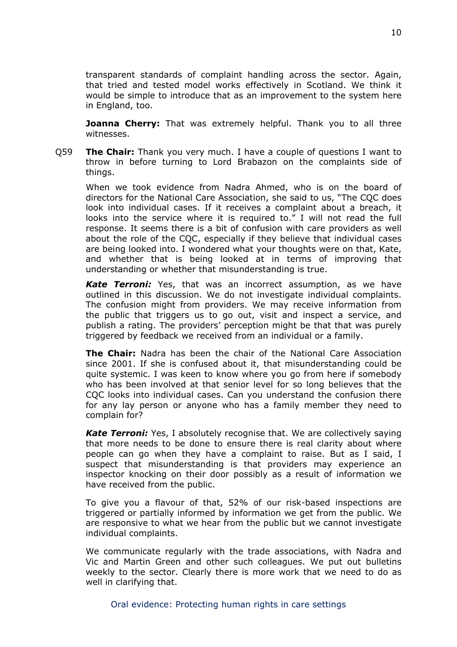transparent standards of complaint handling across the sector. Again, that tried and tested model works effectively in Scotland. We think it would be simple to introduce that as an improvement to the system here in England, too.

**Joanna Cherry:** That was extremely helpful. Thank you to all three witnesses.

Q59 **The Chair:** Thank you very much. I have a couple of questions I want to throw in before turning to Lord Brabazon on the complaints side of things.

When we took evidence from Nadra Ahmed, who is on the board of directors for the National Care Association, she said to us, "The CQC does look into individual cases. If it receives a complaint about a breach, it looks into the service where it is required to." I will not read the full response. It seems there is a bit of confusion with care providers as well about the role of the CQC, especially if they believe that individual cases are being looked into. I wondered what your thoughts were on that, Kate, and whether that is being looked at in terms of improving that understanding or whether that misunderstanding is true.

*Kate Terroni:* Yes, that was an incorrect assumption, as we have outlined in this discussion. We do not investigate individual complaints. The confusion might from providers. We may receive information from the public that triggers us to go out, visit and inspect a service, and publish a rating. The providers' perception might be that that was purely triggered by feedback we received from an individual or a family.

**The Chair:** Nadra has been the chair of the National Care Association since 2001. If she is confused about it, that misunderstanding could be quite systemic. I was keen to know where you go from here if somebody who has been involved at that senior level for so long believes that the CQC looks into individual cases. Can you understand the confusion there for any lay person or anyone who has a family member they need to complain for?

*Kate Terroni:* Yes, I absolutely recognise that. We are collectively saying that more needs to be done to ensure there is real clarity about where people can go when they have a complaint to raise. But as I said, I suspect that misunderstanding is that providers may experience an inspector knocking on their door possibly as a result of information we have received from the public.

To give you a flavour of that, 52% of our risk-based inspections are triggered or partially informed by information we get from the public. We are responsive to what we hear from the public but we cannot investigate individual complaints.

We communicate regularly with the trade associations, with Nadra and Vic and Martin Green and other such colleagues. We put out bulletins weekly to the sector. Clearly there is more work that we need to do as well in clarifying that.

Oral evidence: Protecting human rights in care settings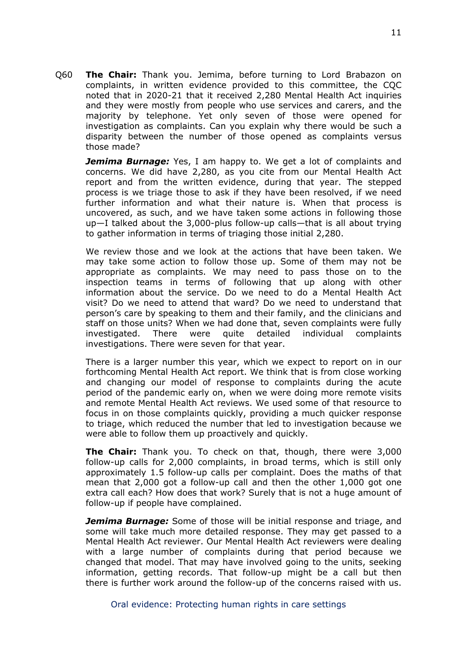Q60 **The Chair:** Thank you. Jemima, before turning to Lord Brabazon on complaints, in written evidence provided to this committee, the CQC noted that in 2020-21 that it received 2,280 Mental Health Act inquiries and they were mostly from people who use services and carers, and the majority by telephone. Yet only seven of those were opened for investigation as complaints. Can you explain why there would be such a disparity between the number of those opened as complaints versus those made?

*Jemima Burnage:* Yes, I am happy to. We get a lot of complaints and concerns. We did have 2,280, as you cite from our Mental Health Act report and from the written evidence, during that year. The stepped process is we triage those to ask if they have been resolved, if we need further information and what their nature is. When that process is uncovered, as such, and we have taken some actions in following those up—I talked about the 3,000-plus follow-up calls—that is all about trying to gather information in terms of triaging those initial 2,280.

We review those and we look at the actions that have been taken. We may take some action to follow those up. Some of them may not be appropriate as complaints. We may need to pass those on to the inspection teams in terms of following that up along with other information about the service. Do we need to do a Mental Health Act visit? Do we need to attend that ward? Do we need to understand that person's care by speaking to them and their family, and the clinicians and staff on those units? When we had done that, seven complaints were fully investigated. There were quite detailed individual complaints investigations. There were seven for that year.

There is a larger number this year, which we expect to report on in our forthcoming Mental Health Act report. We think that is from close working and changing our model of response to complaints during the acute period of the pandemic early on, when we were doing more remote visits and remote Mental Health Act reviews. We used some of that resource to focus in on those complaints quickly, providing a much quicker response to triage, which reduced the number that led to investigation because we were able to follow them up proactively and quickly.

**The Chair:** Thank you. To check on that, though, there were 3,000 follow-up calls for 2,000 complaints, in broad terms, which is still only approximately 1.5 follow-up calls per complaint. Does the maths of that mean that 2,000 got a follow-up call and then the other 1,000 got one extra call each? How does that work? Surely that is not a huge amount of follow-up if people have complained.

*Jemima Burnage:* Some of those will be initial response and triage, and some will take much more detailed response. They may get passed to a Mental Health Act reviewer. Our Mental Health Act reviewers were dealing with a large number of complaints during that period because we changed that model. That may have involved going to the units, seeking information, getting records. That follow-up might be a call but then there is further work around the follow-up of the concerns raised with us.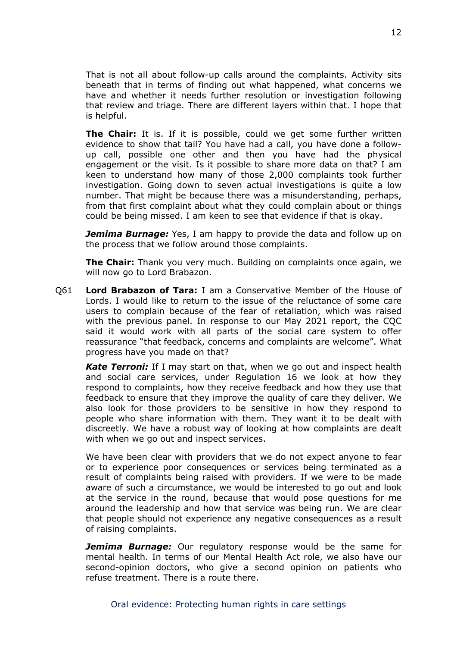That is not all about follow-up calls around the complaints. Activity sits beneath that in terms of finding out what happened, what concerns we have and whether it needs further resolution or investigation following that review and triage. There are different layers within that. I hope that is helpful.

**The Chair:** It is. If it is possible, could we get some further written evidence to show that tail? You have had a call, you have done a followup call, possible one other and then you have had the physical engagement or the visit. Is it possible to share more data on that? I am keen to understand how many of those 2,000 complaints took further investigation. Going down to seven actual investigations is quite a low number. That might be because there was a misunderstanding, perhaps, from that first complaint about what they could complain about or things could be being missed. I am keen to see that evidence if that is okay.

*Jemima Burnage:* Yes, I am happy to provide the data and follow up on the process that we follow around those complaints.

**The Chair:** Thank you very much. Building on complaints once again, we will now go to Lord Brabazon.

Q61 **Lord Brabazon of Tara:** I am a Conservative Member of the House of Lords. I would like to return to the issue of the reluctance of some care users to complain because of the fear of retaliation, which was raised with the previous panel. In response to our May 2021 report, the CQC said it would work with all parts of the social care system to offer reassurance "that feedback, concerns and complaints are welcome". What progress have you made on that?

*Kate Terroni:* If I may start on that, when we go out and inspect health and social care services, under Regulation 16 we look at how they respond to complaints, how they receive feedback and how they use that feedback to ensure that they improve the quality of care they deliver. We also look for those providers to be sensitive in how they respond to people who share information with them. They want it to be dealt with discreetly. We have a robust way of looking at how complaints are dealt with when we go out and inspect services.

We have been clear with providers that we do not expect anyone to fear or to experience poor consequences or services being terminated as a result of complaints being raised with providers. If we were to be made aware of such a circumstance, we would be interested to go out and look at the service in the round, because that would pose questions for me around the leadership and how that service was being run. We are clear that people should not experience any negative consequences as a result of raising complaints.

*Jemima Burnage:* Our regulatory response would be the same for mental health. In terms of our Mental Health Act role, we also have our second-opinion doctors, who give a second opinion on patients who refuse treatment. There is a route there.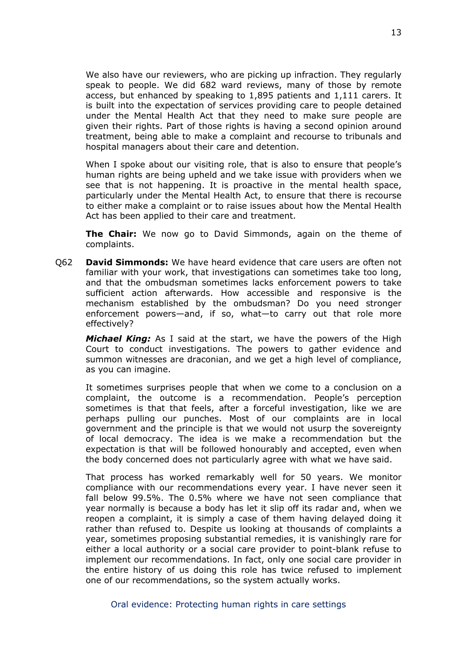We also have our reviewers, who are picking up infraction. They regularly speak to people. We did 682 ward reviews, many of those by remote access, but enhanced by speaking to 1,895 patients and 1,111 carers. It is built into the expectation of services providing care to people detained under the Mental Health Act that they need to make sure people are given their rights. Part of those rights is having a second opinion around treatment, being able to make a complaint and recourse to tribunals and hospital managers about their care and detention.

When I spoke about our visiting role, that is also to ensure that people's human rights are being upheld and we take issue with providers when we see that is not happening. It is proactive in the mental health space, particularly under the Mental Health Act, to ensure that there is recourse to either make a complaint or to raise issues about how the Mental Health Act has been applied to their care and treatment.

**The Chair:** We now go to David Simmonds, again on the theme of complaints.

Q62 **David Simmonds:** We have heard evidence that care users are often not familiar with your work, that investigations can sometimes take too long, and that the ombudsman sometimes lacks enforcement powers to take sufficient action afterwards. How accessible and responsive is the mechanism established by the ombudsman? Do you need stronger enforcement powers—and, if so, what—to carry out that role more effectively?

*Michael King:* As I said at the start, we have the powers of the High Court to conduct investigations. The powers to gather evidence and summon witnesses are draconian, and we get a high level of compliance, as you can imagine.

It sometimes surprises people that when we come to a conclusion on a complaint, the outcome is a recommendation. People's perception sometimes is that that feels, after a forceful investigation, like we are perhaps pulling our punches. Most of our complaints are in local government and the principle is that we would not usurp the sovereignty of local democracy. The idea is we make a recommendation but the expectation is that will be followed honourably and accepted, even when the body concerned does not particularly agree with what we have said.

That process has worked remarkably well for 50 years. We monitor compliance with our recommendations every year. I have never seen it fall below 99.5%. The 0.5% where we have not seen compliance that year normally is because a body has let it slip off its radar and, when we reopen a complaint, it is simply a case of them having delayed doing it rather than refused to. Despite us looking at thousands of complaints a year, sometimes proposing substantial remedies, it is vanishingly rare for either a local authority or a social care provider to point-blank refuse to implement our recommendations. In fact, only one social care provider in the entire history of us doing this role has twice refused to implement one of our recommendations, so the system actually works.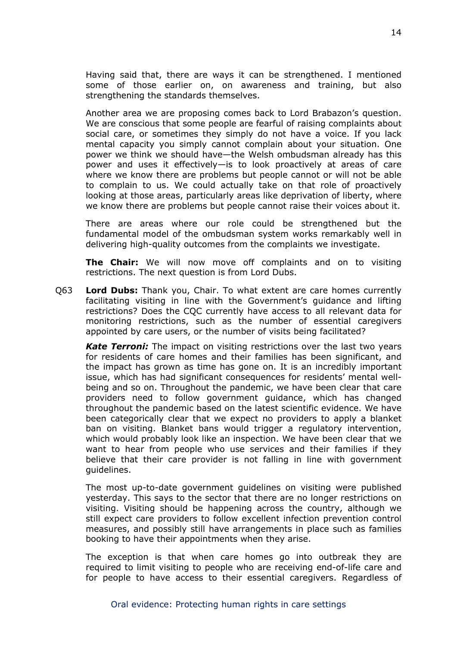Having said that, there are ways it can be strengthened. I mentioned some of those earlier on, on awareness and training, but also strengthening the standards themselves.

Another area we are proposing comes back to Lord Brabazon's question. We are conscious that some people are fearful of raising complaints about social care, or sometimes they simply do not have a voice. If you lack mental capacity you simply cannot complain about your situation. One power we think we should have—the Welsh ombudsman already has this power and uses it effectively—is to look proactively at areas of care where we know there are problems but people cannot or will not be able to complain to us. We could actually take on that role of proactively looking at those areas, particularly areas like deprivation of liberty, where we know there are problems but people cannot raise their voices about it.

There are areas where our role could be strengthened but the fundamental model of the ombudsman system works remarkably well in delivering high-quality outcomes from the complaints we investigate.

**The Chair:** We will now move off complaints and on to visiting restrictions. The next question is from Lord Dubs.

Q63 **Lord Dubs:** Thank you, Chair. To what extent are care homes currently facilitating visiting in line with the Government's guidance and lifting restrictions? Does the CQC currently have access to all relevant data for monitoring restrictions, such as the number of essential caregivers appointed by care users, or the number of visits being facilitated?

*Kate Terroni:* The impact on visiting restrictions over the last two years for residents of care homes and their families has been significant, and the impact has grown as time has gone on. It is an incredibly important issue, which has had significant consequences for residents' mental wellbeing and so on. Throughout the pandemic, we have been clear that care providers need to follow government guidance, which has changed throughout the pandemic based on the latest scientific evidence. We have been categorically clear that we expect no providers to apply a blanket ban on visiting. Blanket bans would trigger a regulatory intervention, which would probably look like an inspection. We have been clear that we want to hear from people who use services and their families if they believe that their care provider is not falling in line with government guidelines.

The most up-to-date government guidelines on visiting were published yesterday. This says to the sector that there are no longer restrictions on visiting. Visiting should be happening across the country, although we still expect care providers to follow excellent infection prevention control measures, and possibly still have arrangements in place such as families booking to have their appointments when they arise.

The exception is that when care homes go into outbreak they are required to limit visiting to people who are receiving end-of-life care and for people to have access to their essential caregivers. Regardless of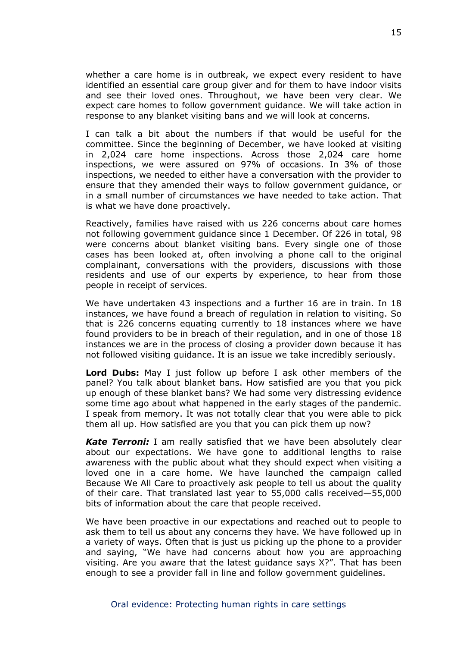whether a care home is in outbreak, we expect every resident to have identified an essential care group giver and for them to have indoor visits and see their loved ones. Throughout, we have been very clear. We expect care homes to follow government guidance. We will take action in response to any blanket visiting bans and we will look at concerns.

I can talk a bit about the numbers if that would be useful for the committee. Since the beginning of December, we have looked at visiting in 2,024 care home inspections. Across those 2,024 care home inspections, we were assured on 97% of occasions. In 3% of those inspections, we needed to either have a conversation with the provider to ensure that they amended their ways to follow government guidance, or in a small number of circumstances we have needed to take action. That is what we have done proactively.

Reactively, families have raised with us 226 concerns about care homes not following government guidance since 1 December. Of 226 in total, 98 were concerns about blanket visiting bans. Every single one of those cases has been looked at, often involving a phone call to the original complainant, conversations with the providers, discussions with those residents and use of our experts by experience, to hear from those people in receipt of services.

We have undertaken 43 inspections and a further 16 are in train. In 18 instances, we have found a breach of regulation in relation to visiting. So that is 226 concerns equating currently to 18 instances where we have found providers to be in breach of their regulation, and in one of those 18 instances we are in the process of closing a provider down because it has not followed visiting guidance. It is an issue we take incredibly seriously.

**Lord Dubs:** May I just follow up before I ask other members of the panel? You talk about blanket bans. How satisfied are you that you pick up enough of these blanket bans? We had some very distressing evidence some time ago about what happened in the early stages of the pandemic. I speak from memory. It was not totally clear that you were able to pick them all up. How satisfied are you that you can pick them up now?

*Kate Terroni:* I am really satisfied that we have been absolutely clear about our expectations. We have gone to additional lengths to raise awareness with the public about what they should expect when visiting a loved one in a care home. We have launched the campaign called Because We All Care to proactively ask people to tell us about the quality of their care. That translated last year to 55,000 calls received—55,000 bits of information about the care that people received.

We have been proactive in our expectations and reached out to people to ask them to tell us about any concerns they have. We have followed up in a variety of ways. Often that is just us picking up the phone to a provider and saying, "We have had concerns about how you are approaching visiting. Are you aware that the latest guidance says X?". That has been enough to see a provider fall in line and follow government guidelines.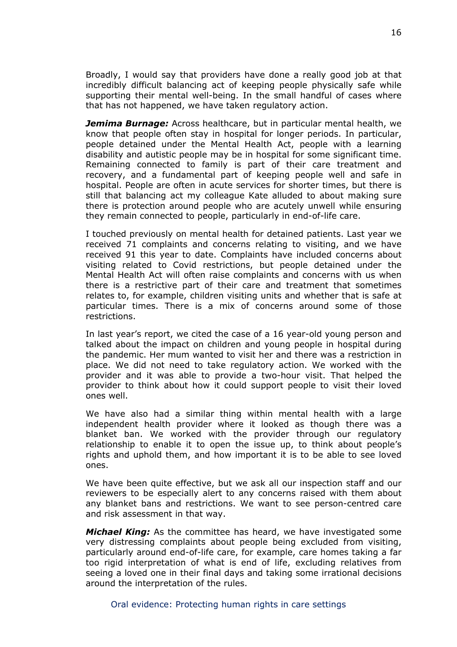Broadly, I would say that providers have done a really good job at that incredibly difficult balancing act of keeping people physically safe while supporting their mental well-being. In the small handful of cases where that has not happened, we have taken regulatory action.

*Jemima Burnage:* Across healthcare, but in particular mental health, we know that people often stay in hospital for longer periods. In particular, people detained under the Mental Health Act, people with a learning disability and autistic people may be in hospital for some significant time. Remaining connected to family is part of their care treatment and recovery, and a fundamental part of keeping people well and safe in hospital. People are often in acute services for shorter times, but there is still that balancing act my colleague Kate alluded to about making sure there is protection around people who are acutely unwell while ensuring they remain connected to people, particularly in end-of-life care.

I touched previously on mental health for detained patients. Last year we received 71 complaints and concerns relating to visiting, and we have received 91 this year to date. Complaints have included concerns about visiting related to Covid restrictions, but people detained under the Mental Health Act will often raise complaints and concerns with us when there is a restrictive part of their care and treatment that sometimes relates to, for example, children visiting units and whether that is safe at particular times. There is a mix of concerns around some of those restrictions.

In last year's report, we cited the case of a 16 year-old young person and talked about the impact on children and young people in hospital during the pandemic. Her mum wanted to visit her and there was a restriction in place. We did not need to take regulatory action. We worked with the provider and it was able to provide a two-hour visit. That helped the provider to think about how it could support people to visit their loved ones well.

We have also had a similar thing within mental health with a large independent health provider where it looked as though there was a blanket ban. We worked with the provider through our regulatory relationship to enable it to open the issue up, to think about people's rights and uphold them, and how important it is to be able to see loved ones.

We have been quite effective, but we ask all our inspection staff and our reviewers to be especially alert to any concerns raised with them about any blanket bans and restrictions. We want to see person-centred care and risk assessment in that way.

*Michael King:* As the committee has heard, we have investigated some very distressing complaints about people being excluded from visiting, particularly around end-of-life care, for example, care homes taking a far too rigid interpretation of what is end of life, excluding relatives from seeing a loved one in their final days and taking some irrational decisions around the interpretation of the rules.

Oral evidence: Protecting human rights in care settings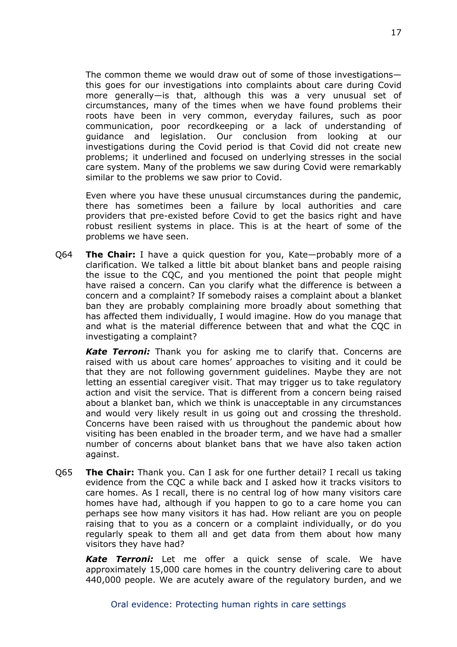The common theme we would draw out of some of those investigations this goes for our investigations into complaints about care during Covid more generally—is that, although this was a very unusual set of circumstances, many of the times when we have found problems their roots have been in very common, everyday failures, such as poor communication, poor recordkeeping or a lack of understanding of guidance and legislation. Our conclusion from looking at our investigations during the Covid period is that Covid did not create new problems; it underlined and focused on underlying stresses in the social care system. Many of the problems we saw during Covid were remarkably similar to the problems we saw prior to Covid.

Even where you have these unusual circumstances during the pandemic, there has sometimes been a failure by local authorities and care providers that pre-existed before Covid to get the basics right and have robust resilient systems in place. This is at the heart of some of the problems we have seen.

Q64 **The Chair:** I have a quick question for you, Kate—probably more of a clarification. We talked a little bit about blanket bans and people raising the issue to the CQC, and you mentioned the point that people might have raised a concern. Can you clarify what the difference is between a concern and a complaint? If somebody raises a complaint about a blanket ban they are probably complaining more broadly about something that has affected them individually, I would imagine. How do you manage that and what is the material difference between that and what the CQC in investigating a complaint?

*Kate Terroni:* Thank you for asking me to clarify that. Concerns are raised with us about care homes' approaches to visiting and it could be that they are not following government guidelines. Maybe they are not letting an essential caregiver visit. That may trigger us to take regulatory action and visit the service. That is different from a concern being raised about a blanket ban, which we think is unacceptable in any circumstances and would very likely result in us going out and crossing the threshold. Concerns have been raised with us throughout the pandemic about how visiting has been enabled in the broader term, and we have had a smaller number of concerns about blanket bans that we have also taken action against.

Q65 **The Chair:** Thank you. Can I ask for one further detail? I recall us taking evidence from the CQC a while back and I asked how it tracks visitors to care homes. As I recall, there is no central log of how many visitors care homes have had, although if you happen to go to a care home you can perhaps see how many visitors it has had. How reliant are you on people raising that to you as a concern or a complaint individually, or do you regularly speak to them all and get data from them about how many visitors they have had?

*Kate Terroni:* Let me offer a quick sense of scale. We have approximately 15,000 care homes in the country delivering care to about 440,000 people. We are acutely aware of the regulatory burden, and we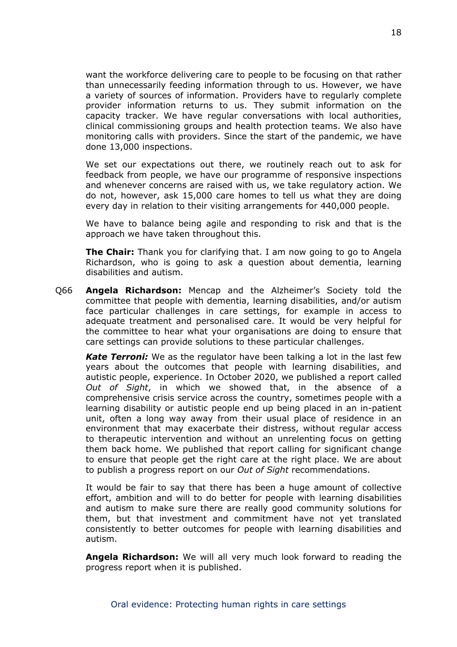want the workforce delivering care to people to be focusing on that rather than unnecessarily feeding information through to us. However, we have a variety of sources of information. Providers have to regularly complete provider information returns to us. They submit information on the capacity tracker. We have regular conversations with local authorities, clinical commissioning groups and health protection teams. We also have monitoring calls with providers. Since the start of the pandemic, we have done 13,000 inspections.

We set our expectations out there, we routinely reach out to ask for feedback from people, we have our programme of responsive inspections and whenever concerns are raised with us, we take regulatory action. We do not, however, ask 15,000 care homes to tell us what they are doing every day in relation to their visiting arrangements for 440,000 people.

We have to balance being agile and responding to risk and that is the approach we have taken throughout this.

**The Chair:** Thank you for clarifying that. I am now going to go to Angela Richardson, who is going to ask a question about dementia, learning disabilities and autism.

Q66 **Angela Richardson:** Mencap and the Alzheimer's Society told the committee that people with dementia, learning disabilities, and/or autism face particular challenges in care settings, for example in access to adequate treatment and personalised care. It would be very helpful for the committee to hear what your organisations are doing to ensure that care settings can provide solutions to these particular challenges.

*Kate Terroni:* We as the regulator have been talking a lot in the last few years about the outcomes that people with learning disabilities, and autistic people, experience. In October 2020, we published a report called *Out of Sight*, in which we showed that, in the absence of a comprehensive crisis service across the country, sometimes people with a learning disability or autistic people end up being placed in an in-patient unit, often a long way away from their usual place of residence in an environment that may exacerbate their distress, without regular access to therapeutic intervention and without an unrelenting focus on getting them back home. We published that report calling for significant change to ensure that people get the right care at the right place. We are about to publish a progress report on our *Out of Sight* recommendations.

It would be fair to say that there has been a huge amount of collective effort, ambition and will to do better for people with learning disabilities and autism to make sure there are really good community solutions for them, but that investment and commitment have not yet translated consistently to better outcomes for people with learning disabilities and autism.

**Angela Richardson:** We will all very much look forward to reading the progress report when it is published.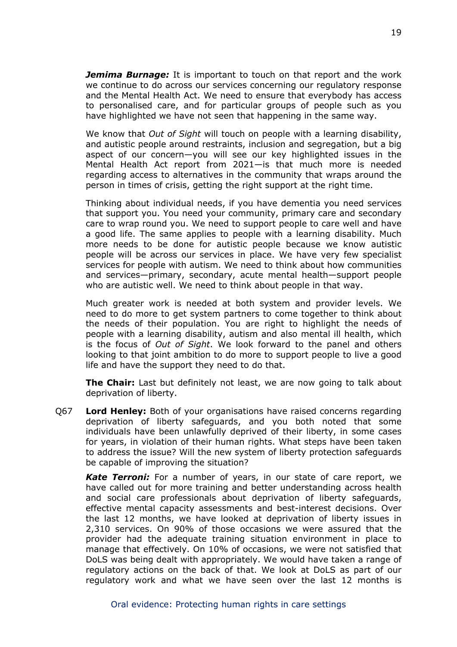*Jemima Burnage:* It is important to touch on that report and the work we continue to do across our services concerning our regulatory response and the Mental Health Act. We need to ensure that everybody has access to personalised care, and for particular groups of people such as you have highlighted we have not seen that happening in the same way.

We know that *Out of Sight* will touch on people with a learning disability, and autistic people around restraints, inclusion and segregation, but a big aspect of our concern—you will see our key highlighted issues in the Mental Health Act report from 2021—is that much more is needed regarding access to alternatives in the community that wraps around the person in times of crisis, getting the right support at the right time.

Thinking about individual needs, if you have dementia you need services that support you. You need your community, primary care and secondary care to wrap round you. We need to support people to care well and have a good life. The same applies to people with a learning disability. Much more needs to be done for autistic people because we know autistic people will be across our services in place. We have very few specialist services for people with autism. We need to think about how communities and services—primary, secondary, acute mental health—support people who are autistic well. We need to think about people in that way.

Much greater work is needed at both system and provider levels. We need to do more to get system partners to come together to think about the needs of their population. You are right to highlight the needs of people with a learning disability, autism and also mental ill health, which is the focus of *Out of Sight*. We look forward to the panel and others looking to that joint ambition to do more to support people to live a good life and have the support they need to do that.

**The Chair:** Last but definitely not least, we are now going to talk about deprivation of liberty.

Q67 **Lord Henley:** Both of your organisations have raised concerns regarding deprivation of liberty safeguards, and you both noted that some individuals have been unlawfully deprived of their liberty, in some cases for years, in violation of their human rights. What steps have been taken to address the issue? Will the new system of liberty protection safeguards be capable of improving the situation?

*Kate Terroni:* For a number of years, in our state of care report, we have called out for more training and better understanding across health and social care professionals about deprivation of liberty safeguards, effective mental capacity assessments and best-interest decisions. Over the last 12 months, we have looked at deprivation of liberty issues in 2,310 services. On 90% of those occasions we were assured that the provider had the adequate training situation environment in place to manage that effectively. On 10% of occasions, we were not satisfied that DoLS was being dealt with appropriately. We would have taken a range of regulatory actions on the back of that. We look at DoLS as part of our regulatory work and what we have seen over the last 12 months is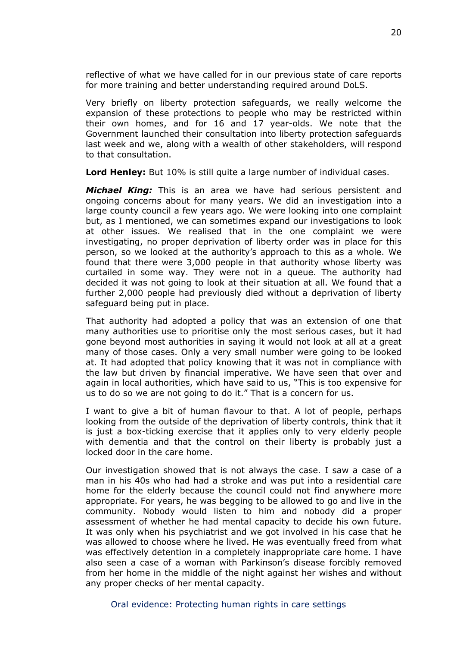reflective of what we have called for in our previous state of care reports for more training and better understanding required around DoLS.

Very briefly on liberty protection safeguards, we really welcome the expansion of these protections to people who may be restricted within their own homes, and for 16 and 17 year-olds. We note that the Government launched their consultation into liberty protection safeguards last week and we, along with a wealth of other stakeholders, will respond to that consultation.

**Lord Henley:** But 10% is still quite a large number of individual cases.

*Michael King:* This is an area we have had serious persistent and ongoing concerns about for many years. We did an investigation into a large county council a few years ago. We were looking into one complaint but, as I mentioned, we can sometimes expand our investigations to look at other issues. We realised that in the one complaint we were investigating, no proper deprivation of liberty order was in place for this person, so we looked at the authority's approach to this as a whole. We found that there were 3,000 people in that authority whose liberty was curtailed in some way. They were not in a queue. The authority had decided it was not going to look at their situation at all. We found that a further 2,000 people had previously died without a deprivation of liberty safeguard being put in place.

That authority had adopted a policy that was an extension of one that many authorities use to prioritise only the most serious cases, but it had gone beyond most authorities in saying it would not look at all at a great many of those cases. Only a very small number were going to be looked at. It had adopted that policy knowing that it was not in compliance with the law but driven by financial imperative. We have seen that over and again in local authorities, which have said to us, "This is too expensive for us to do so we are not going to do it." That is a concern for us.

I want to give a bit of human flavour to that. A lot of people, perhaps looking from the outside of the deprivation of liberty controls, think that it is just a box-ticking exercise that it applies only to very elderly people with dementia and that the control on their liberty is probably just a locked door in the care home.

Our investigation showed that is not always the case. I saw a case of a man in his 40s who had had a stroke and was put into a residential care home for the elderly because the council could not find anywhere more appropriate. For years, he was begging to be allowed to go and live in the community. Nobody would listen to him and nobody did a proper assessment of whether he had mental capacity to decide his own future. It was only when his psychiatrist and we got involved in his case that he was allowed to choose where he lived. He was eventually freed from what was effectively detention in a completely inappropriate care home. I have also seen a case of a woman with Parkinson's disease forcibly removed from her home in the middle of the night against her wishes and without any proper checks of her mental capacity.